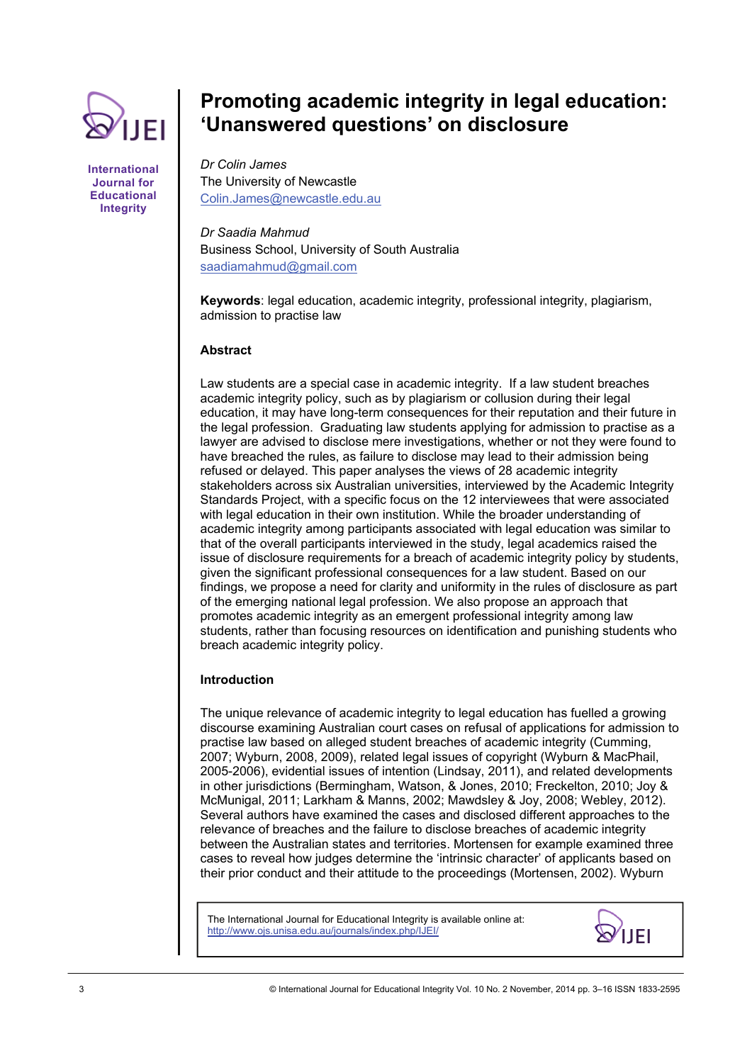

**International Journal for Educational Integrity** 

# **Promoting academic integrity in legal education: 'Unanswered questions' on disclosure**

*Dr Colin James*  The University of Newcastle [Colin.James@newcastle.edu.au](mailto:Colin.James@newcastle.edu.au) 

*Dr Saadia Mahmud*  Business School, University of South Australia [saadiamahmud@gmail.com](mailto:saadiamahmud@gmail.com) 

**Keywords**: legal education, academic integrity, professional integrity, plagiarism, admission to practise law

## **Abstract**

Law students are a special case in academic integrity. If a law student breaches academic integrity policy, such as by plagiarism or collusion during their legal education, it may have long-term consequences for their reputation and their future in the legal profession. Graduating law students applying for admission to practise as a lawyer are advised to disclose mere investigations, whether or not they were found to have breached the rules, as failure to disclose may lead to their admission being refused or delayed. This paper analyses the views of 28 academic integrity stakeholders across six Australian universities, interviewed by the Academic Integrity Standards Project, with a specific focus on the 12 interviewees that were associated with legal education in their own institution. While the broader understanding of academic integrity among participants associated with legal education was similar to that of the overall participants interviewed in the study, legal academics raised the issue of disclosure requirements for a breach of academic integrity policy by students, given the significant professional consequences for a law student. Based on our findings, we propose a need for clarity and uniformity in the rules of disclosure as part of the emerging national legal profession. We also propose an approach that promotes academic integrity as an emergent professional integrity among law students, rather than focusing resources on identification and punishing students who breach academic integrity policy.

## **Introduction**

The unique relevance of academic integrity to legal education has fuelled a growing discourse examining Australian court cases on refusal of applications for admission to practise law based on alleged student breaches of academic integrity (Cumming, 2007; Wyburn, 2008, 2009), related legal issues of copyright (Wyburn & MacPhail, 2005-2006), evidential issues of intention (Lindsay, 2011), and related developments in other jurisdictions (Bermingham, Watson, & Jones, 2010; Freckelton, 2010; Joy & McMunigal, 2011; Larkham & Manns, 2002; Mawdsley & Joy, 2008; Webley, 2012). Several authors have examined the cases and disclosed different approaches to the relevance of breaches and the failure to disclose breaches of academic integrity between the Australian states and territories. Mortensen for example examined three cases to reveal how judges determine the 'intrinsic character' of applicants based on their prior conduct and their attitude to the proceedings (Mortensen, 2002). Wyburn

The International Journal for Educational Integrity is available online at: http://www.ojs.unisa.edu.au/journals/index.php/IJEI/

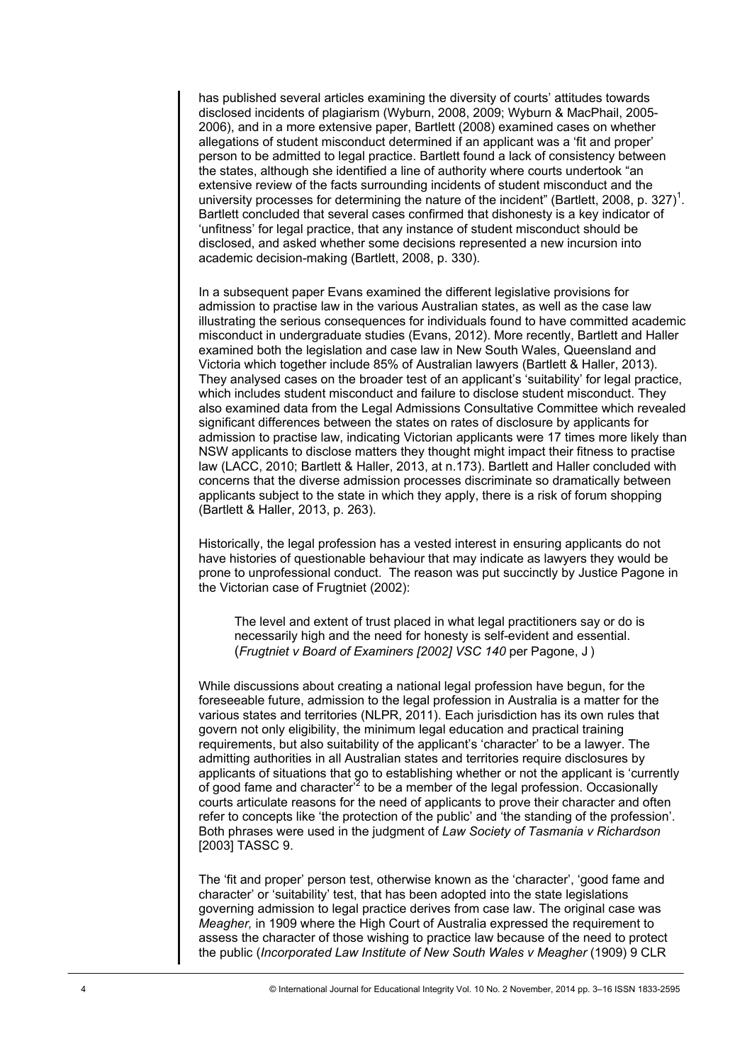has published several articles examining the diversity of courts' attitudes towards disclosed incidents of plagiarism (Wyburn, 2008, 2009; Wyburn & MacPhail, 2005- 2006), and in a more extensive paper, Bartlett (2008) examined cases on whether allegations of student misconduct determined if an applicant was a 'fit and proper' person to be admitted to legal practice. Bartlett found a lack of consistency between the states, although she identified a line of authority where courts undertook "an extensive review of the facts surrounding incidents of student misconduct and the university processes for determining the nature of the incident" (Bartlett, 2008, p. 327)<sup>1</sup>. Bartlett concluded that several cases confirmed that dishonesty is a key indicator of 'unfitness' for legal practice, that any instance of student misconduct should be disclosed, and asked whether some decisions represented a new incursion into academic decision-making (Bartlett, 2008, p. 330).

In a subsequent paper Evans examined the different legislative provisions for admission to practise law in the various Australian states, as well as the case law illustrating the serious consequences for individuals found to have committed academic misconduct in undergraduate studies (Evans, 2012). More recently, Bartlett and Haller examined both the legislation and case law in New South Wales, Queensland and Victoria which together include 85% of Australian lawyers (Bartlett & Haller, 2013). They analysed cases on the broader test of an applicant's 'suitability' for legal practice, which includes student misconduct and failure to disclose student misconduct. They also examined data from the Legal Admissions Consultative Committee which revealed significant differences between the states on rates of disclosure by applicants for admission to practise law, indicating Victorian applicants were 17 times more likely than NSW applicants to disclose matters they thought might impact their fitness to practise law (LACC, 2010; Bartlett & Haller, 2013, at n.173). Bartlett and Haller concluded with concerns that the diverse admission processes discriminate so dramatically between applicants subject to the state in which they apply, there is a risk of forum shopping (Bartlett & Haller, 2013, p. 263).

Historically, the legal profession has a vested interest in ensuring applicants do not have histories of questionable behaviour that may indicate as lawyers they would be prone to unprofessional conduct. The reason was put succinctly by Justice Pagone in the Victorian case of Frugtniet (2002):

The level and extent of trust placed in what legal practitioners say or do is necessarily high and the need for honesty is self-evident and essential. (*Frugtniet v Board of Examiners [2002] VSC 140* per Pagone, J )

While discussions about creating a national legal profession have begun, for the foreseeable future, admission to the legal profession in Australia is a matter for the various states and territories (NLPR, 2011). Each jurisdiction has its own rules that govern not only eligibility, the minimum legal education and practical training requirements, but also suitability of the applicant's 'character' to be a lawyer. The admitting authorities in all Australian states and territories require disclosures by applicants of situations that go to establishing whether or not the applicant is 'currently of good fame and character<sup>2</sup> to be a member of the legal profession. Occasionally courts articulate reasons for the need of applicants to prove their character and often refer to concepts like 'the protection of the public' and 'the standing of the profession'. Both phrases were used in the judgment of *Law Society of Tasmania v Richardson* [2003] TASSC 9.

The 'fit and proper' person test, otherwise known as the 'character', 'good fame and character' or 'suitability' test, that has been adopted into the state legislations governing admission to legal practice derives from case law. The original case was *Meagher,* in 1909 where the High Court of Australia expressed the requirement to assess the character of those wishing to practice law because of the need to protect the public (*Incorporated Law Institute of New South Wales v Meagher* (1909) 9 CLR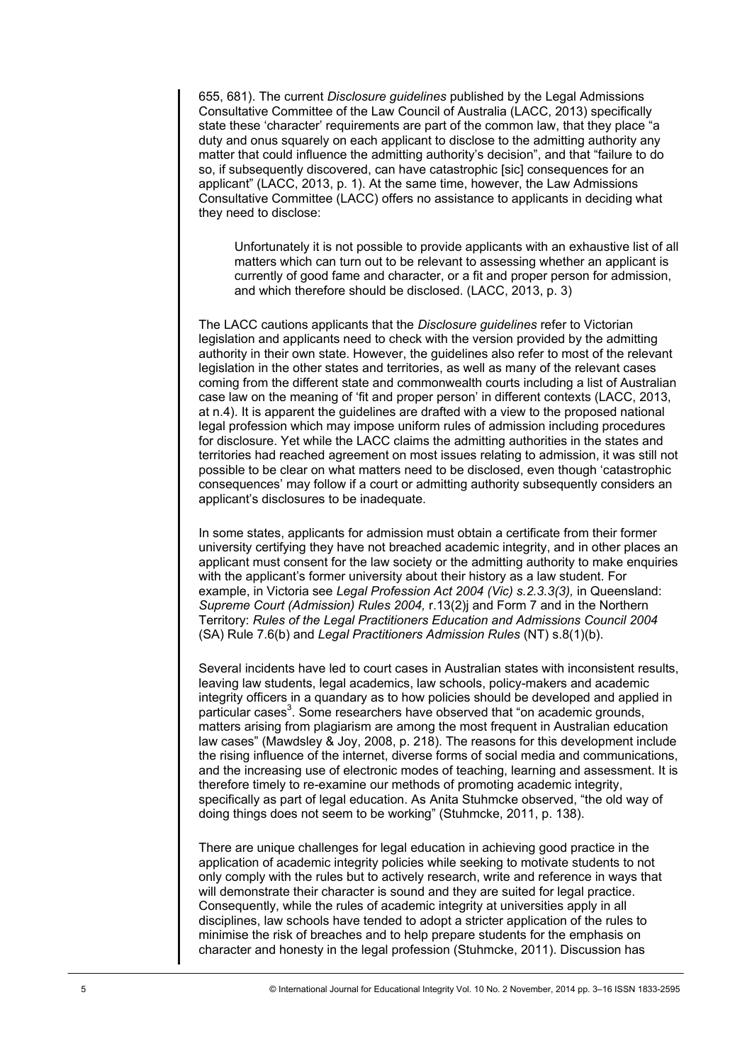655, 681). The current *Disclosure guidelines* published by the Legal Admissions Consultative Committee of the Law Council of Australia (LACC, 2013) specifically state these 'character' requirements are part of the common law, that they place "a duty and onus squarely on each applicant to disclose to the admitting authority any matter that could influence the admitting authority's decision", and that "failure to do so, if subsequently discovered, can have catastrophic [sic] consequences for an applicant" (LACC, 2013, p. 1). At the same time, however, the Law Admissions Consultative Committee (LACC) offers no assistance to applicants in deciding what they need to disclose:

Unfortunately it is not possible to provide applicants with an exhaustive list of all matters which can turn out to be relevant to assessing whether an applicant is currently of good fame and character, or a fit and proper person for admission, and which therefore should be disclosed. (LACC, 2013, p. 3)

The LACC cautions applicants that the *Disclosure guidelines* refer to Victorian legislation and applicants need to check with the version provided by the admitting authority in their own state. However, the guidelines also refer to most of the relevant legislation in the other states and territories, as well as many of the relevant cases coming from the different state and commonwealth courts including a list of Australian case law on the meaning of 'fit and proper person' in different contexts (LACC, 2013, at n.4). It is apparent the guidelines are drafted with a view to the proposed national legal profession which may impose uniform rules of admission including procedures for disclosure. Yet while the LACC claims the admitting authorities in the states and territories had reached agreement on most issues relating to admission, it was still not possible to be clear on what matters need to be disclosed, even though 'catastrophic consequences' may follow if a court or admitting authority subsequently considers an applicant's disclosures to be inadequate.

In some states, applicants for admission must obtain a certificate from their former university certifying they have not breached academic integrity, and in other places an applicant must consent for the law society or the admitting authority to make enquiries with the applicant's former university about their history as a law student. For example, in Victoria see *Legal Profession Act 2004 (Vic) s.2.3.3(3),* in Queensland: *Supreme Court (Admission) Rules 2004,* r.13(2)j and Form 7 and in the Northern Territory: *Rules of the Legal Practitioners Education and Admissions Council 2004*  (SA) Rule 7.6(b) and *Legal Practitioners Admission Rules* (NT) s.8(1)(b).

Several incidents have led to court cases in Australian states with inconsistent results, leaving law students, legal academics, law schools, policy-makers and academic integrity officers in a quandary as to how policies should be developed and applied in particular cases<sup>3</sup>. Some researchers have observed that "on academic grounds, matters arising from plagiarism are among the most frequent in Australian education law cases" (Mawdsley & Joy, 2008, p. 218). The reasons for this development include the rising influence of the internet, diverse forms of social media and communications, and the increasing use of electronic modes of teaching, learning and assessment. It is therefore timely to re-examine our methods of promoting academic integrity, specifically as part of legal education. As Anita Stuhmcke observed, "the old way of doing things does not seem to be working" (Stuhmcke, 2011, p. 138).

There are unique challenges for legal education in achieving good practice in the application of academic integrity policies while seeking to motivate students to not only comply with the rules but to actively research, write and reference in ways that will demonstrate their character is sound and they are suited for legal practice. Consequently, while the rules of academic integrity at universities apply in all disciplines, law schools have tended to adopt a stricter application of the rules to minimise the risk of breaches and to help prepare students for the emphasis on character and honesty in the legal profession (Stuhmcke, 2011). Discussion has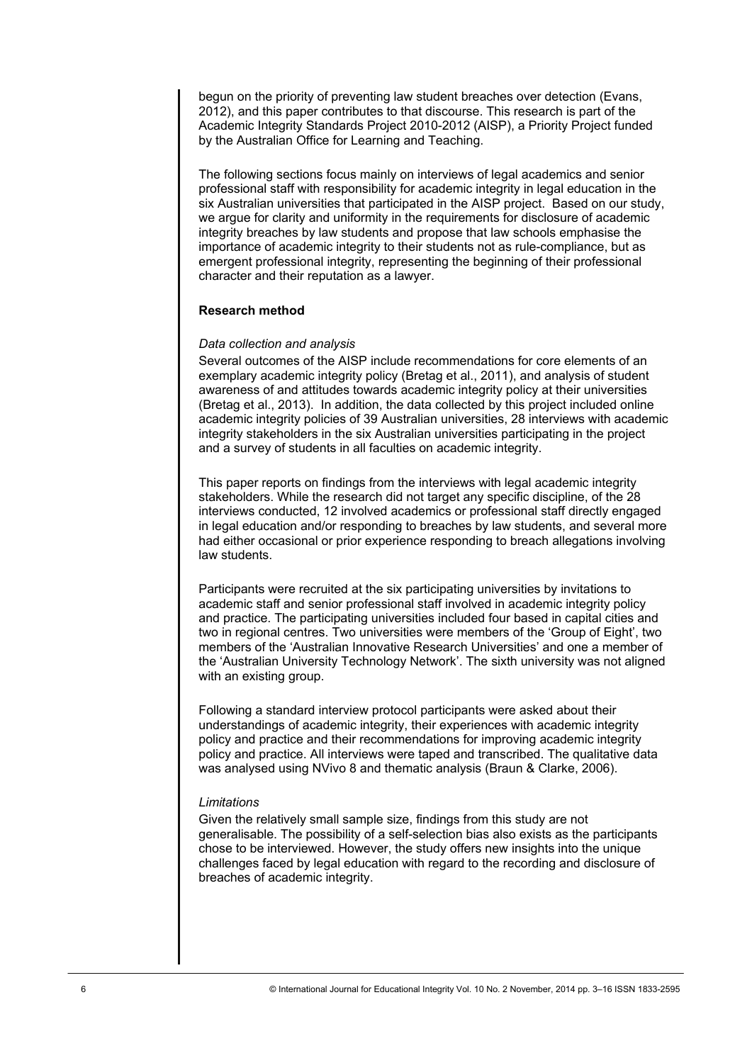begun on the priority of preventing law student breaches over detection (Evans, 2012), and this paper contributes to that discourse. This research is part of the Academic Integrity Standards Project 2010-2012 (AISP), a Priority Project funded by the Australian Office for Learning and Teaching.

The following sections focus mainly on interviews of legal academics and senior professional staff with responsibility for academic integrity in legal education in the six Australian universities that participated in the AISP project. Based on our study, we argue for clarity and uniformity in the requirements for disclosure of academic integrity breaches by law students and propose that law schools emphasise the importance of academic integrity to their students not as rule-compliance, but as emergent professional integrity, representing the beginning of their professional character and their reputation as a lawyer.

#### **Research method**

#### *Data collection and analysis*

Several outcomes of the AISP include recommendations for core elements of an exemplary academic integrity policy (Bretag et al., 2011), and analysis of student awareness of and attitudes towards academic integrity policy at their universities (Bretag et al., 2013). In addition, the data collected by this project included online academic integrity policies of 39 Australian universities, 28 interviews with academic integrity stakeholders in the six Australian universities participating in the project and a survey of students in all faculties on academic integrity.

This paper reports on findings from the interviews with legal academic integrity stakeholders. While the research did not target any specific discipline, of the 28 interviews conducted, 12 involved academics or professional staff directly engaged in legal education and/or responding to breaches by law students, and several more had either occasional or prior experience responding to breach allegations involving law students.

Participants were recruited at the six participating universities by invitations to academic staff and senior professional staff involved in academic integrity policy and practice. The participating universities included four based in capital cities and two in regional centres. Two universities were members of the 'Group of Eight', two members of the 'Australian Innovative Research Universities' and one a member of the 'Australian University Technology Network'. The sixth university was not aligned with an existing group.

Following a standard interview protocol participants were asked about their understandings of academic integrity, their experiences with academic integrity policy and practice and their recommendations for improving academic integrity policy and practice. All interviews were taped and transcribed. The qualitative data was analysed using NVivo 8 and thematic analysis (Braun & Clarke, 2006).

#### *Limitations*

Given the relatively small sample size, findings from this study are not generalisable. The possibility of a self-selection bias also exists as the participants chose to be interviewed. However, the study offers new insights into the unique challenges faced by legal education with regard to the recording and disclosure of breaches of academic integrity.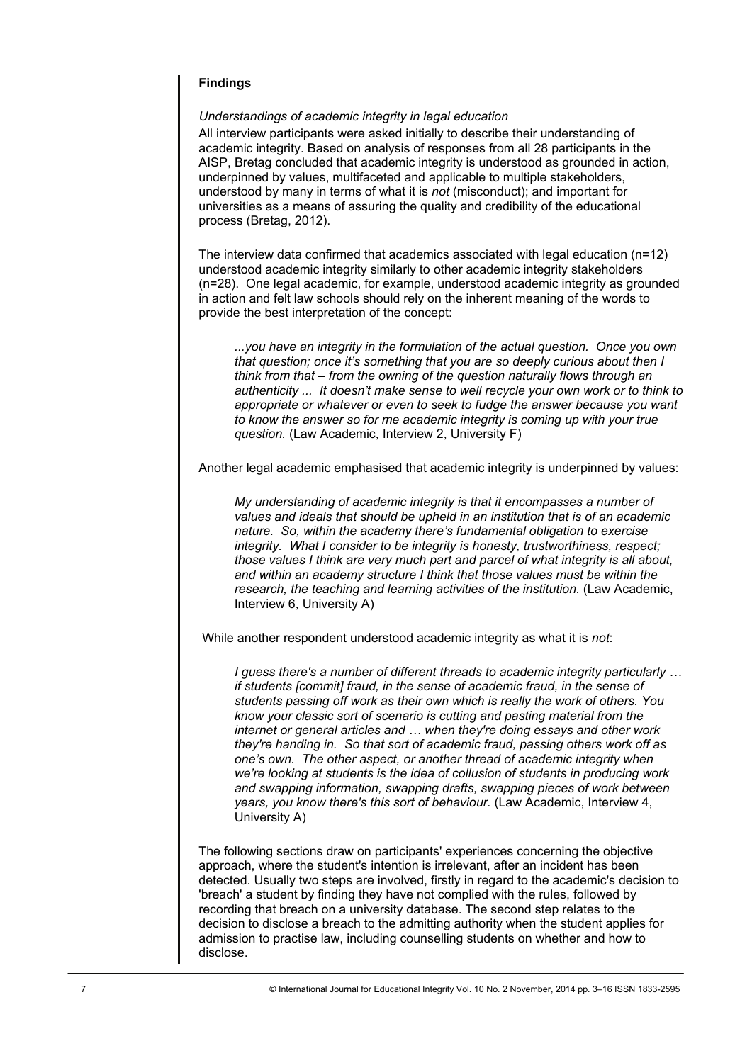## **Findings**

*Understandings of academic integrity in legal education* 

All interview participants were asked initially to describe their understanding of academic integrity. Based on analysis of responses from all 28 participants in the AISP, Bretag concluded that academic integrity is understood as grounded in action, underpinned by values, multifaceted and applicable to multiple stakeholders. understood by many in terms of what it is *not* (misconduct); and important for universities as a means of assuring the quality and credibility of the educational process (Bretag, 2012).

The interview data confirmed that academics associated with legal education (n=12) understood academic integrity similarly to other academic integrity stakeholders (n=28). One legal academic, for example, understood academic integrity as grounded in action and felt law schools should rely on the inherent meaning of the words to provide the best interpretation of the concept:

*...you have an integrity in the formulation of the actual question. Once you own that question; once it's something that you are so deeply curious about then I think from that – from the owning of the question naturally flows through an authenticity ... It doesn't make sense to well recycle your own work or to think to appropriate or whatever or even to seek to fudge the answer because you want to know the answer so for me academic integrity is coming up with your true question.* (Law Academic, Interview 2, University F)

Another legal academic emphasised that academic integrity is underpinned by values:

*My understanding of academic integrity is that it encompasses a number of values and ideals that should be upheld in an institution that is of an academic nature. So, within the academy there's fundamental obligation to exercise integrity. What I consider to be integrity is honesty, trustworthiness, respect; those values I think are very much part and parcel of what integrity is all about, and within an academy structure I think that those values must be within the research, the teaching and learning activities of the institution.* (Law Academic, Interview 6, University A)

While another respondent understood academic integrity as what it is *not*:

*I guess there's a number of different threads to academic integrity particularly … if students [commit] fraud, in the sense of academic fraud, in the sense of students passing off work as their own which is really the work of others. You know your classic sort of scenario is cutting and pasting material from the internet or general articles and … when they're doing essays and other work they're handing in. So that sort of academic fraud, passing others work off as one's own. The other aspect, or another thread of academic integrity when we're looking at students is the idea of collusion of students in producing work and swapping information, swapping drafts, swapping pieces of work between years, you know there's this sort of behaviour.* (Law Academic, Interview 4, University A)

The following sections draw on participants' experiences concerning the objective approach, where the student's intention is irrelevant, after an incident has been detected. Usually two steps are involved, firstly in regard to the academic's decision to 'breach' a student by finding they have not complied with the rules, followed by recording that breach on a university database. The second step relates to the decision to disclose a breach to the admitting authority when the student applies for admission to practise law, including counselling students on whether and how to disclose.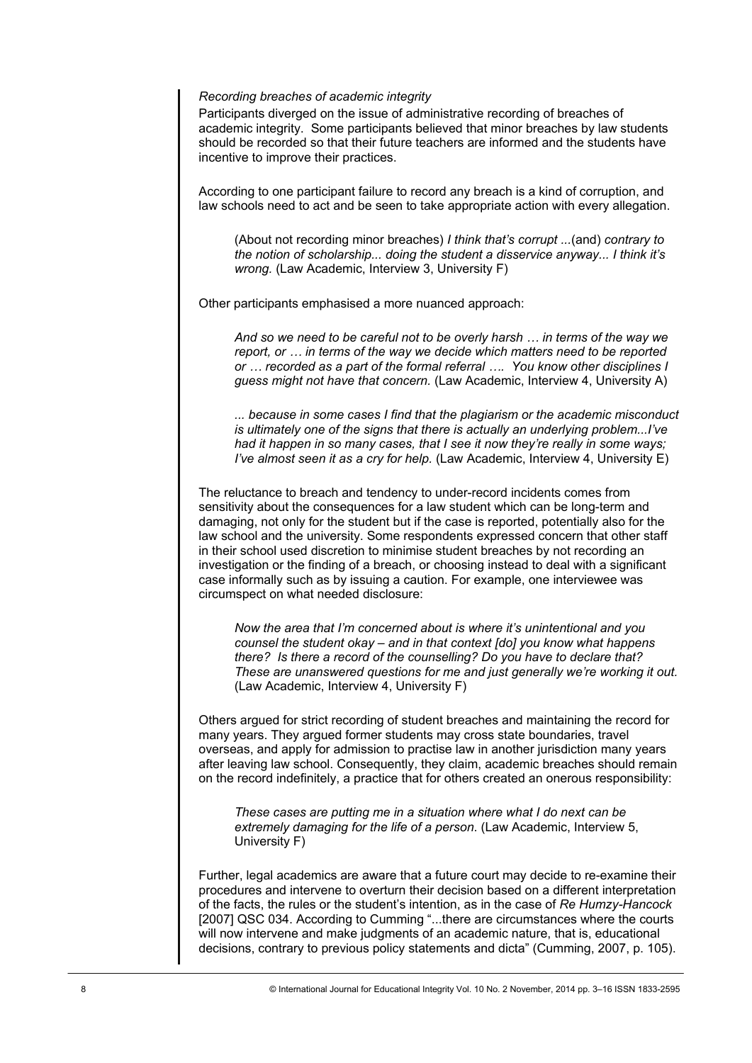#### *Recording breaches of academic integrity*

Participants diverged on the issue of administrative recording of breaches of academic integrity. Some participants believed that minor breaches by law students should be recorded so that their future teachers are informed and the students have incentive to improve their practices.

According to one participant failure to record any breach is a kind of corruption, and law schools need to act and be seen to take appropriate action with every allegation.

(About not recording minor breaches) *I think that's corrupt ...*(and) *contrary to the notion of scholarship... doing the student a disservice anyway... I think it's wrong.* (Law Academic, Interview 3, University F)

Other participants emphasised a more nuanced approach:

*And so we need to be careful not to be overly harsh … in terms of the way we report, or … in terms of the way we decide which matters need to be reported or … recorded as a part of the formal referral …. You know other disciplines I guess might not have that concern.* (Law Academic, Interview 4, University A)

*... because in some cases I find that the plagiarism or the academic misconduct is ultimately one of the signs that there is actually an underlying problem...I've had it happen in so many cases, that I see it now they're really in some ways; I've almost seen it as a cry for help.* (Law Academic, Interview 4, University E)

The reluctance to breach and tendency to under-record incidents comes from sensitivity about the consequences for a law student which can be long-term and damaging, not only for the student but if the case is reported, potentially also for the law school and the university. Some respondents expressed concern that other staff in their school used discretion to minimise student breaches by not recording an investigation or the finding of a breach, or choosing instead to deal with a significant case informally such as by issuing a caution. For example, one interviewee was circumspect on what needed disclosure:

*Now the area that I'm concerned about is where it's unintentional and you counsel the student okay – and in that context [do] you know what happens there? Is there a record of the counselling? Do you have to declare that? These are unanswered questions for me and just generally we're working it out.*  (Law Academic, Interview 4, University F)

Others argued for strict recording of student breaches and maintaining the record for many years. They argued former students may cross state boundaries, travel overseas, and apply for admission to practise law in another jurisdiction many years after leaving law school. Consequently, they claim, academic breaches should remain on the record indefinitely, a practice that for others created an onerous responsibility:

*These cases are putting me in a situation where what I do next can be extremely damaging for the life of a person*. (Law Academic, Interview 5, University F)

Further, legal academics are aware that a future court may decide to re-examine their procedures and intervene to overturn their decision based on a different interpretation of the facts, the rules or the student's intention, as in the case of *Re Humzy-Hancock*  [2007] QSC 034. According to Cumming "...there are circumstances where the courts will now intervene and make judgments of an academic nature, that is, educational decisions, contrary to previous policy statements and dicta" (Cumming, 2007, p. 105).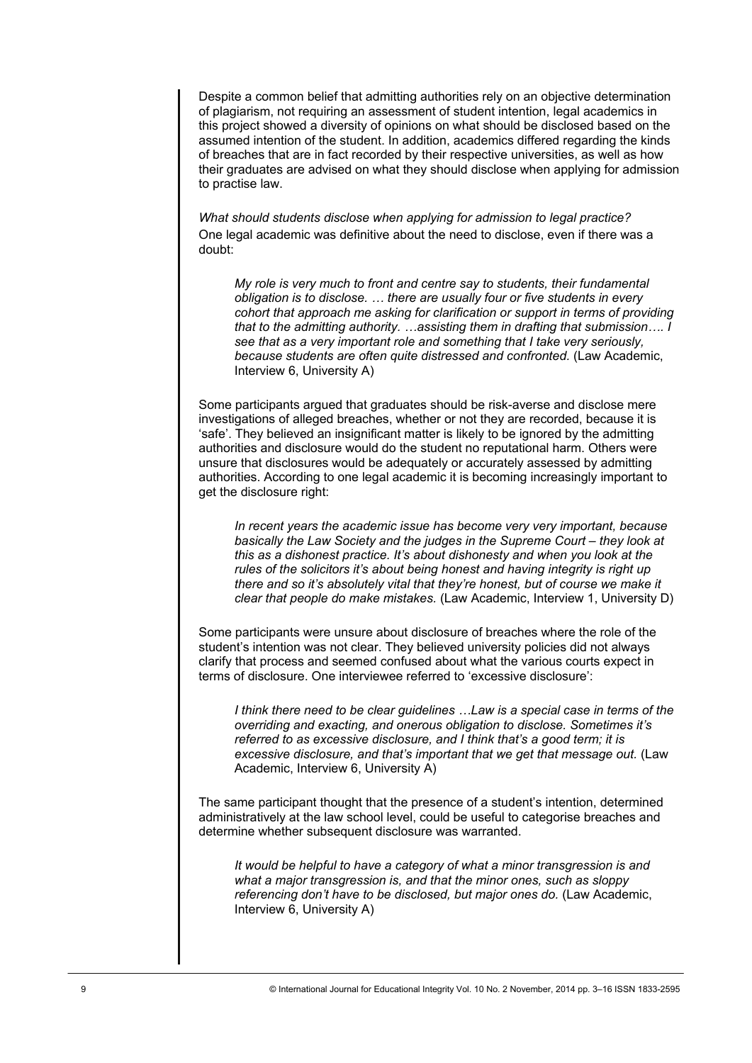Despite a common belief that admitting authorities rely on an objective determination of plagiarism, not requiring an assessment of student intention, legal academics in this project showed a diversity of opinions on what should be disclosed based on the assumed intention of the student. In addition, academics differed regarding the kinds of breaches that are in fact recorded by their respective universities, as well as how their graduates are advised on what they should disclose when applying for admission to practise law.

*What should students disclose when applying for admission to legal practice?*  One legal academic was definitive about the need to disclose, even if there was a doubt:

*My role is very much to front and centre say to students, their fundamental obligation is to disclose. … there are usually four or five students in every cohort that approach me asking for clarification or support in terms of providing that to the admitting authority. …assisting them in drafting that submission…. I see that as a very important role and something that I take very seriously, because students are often quite distressed and confronted.* (Law Academic, Interview 6, University A)

Some participants argued that graduates should be risk-averse and disclose mere investigations of alleged breaches, whether or not they are recorded, because it is 'safe'. They believed an insignificant matter is likely to be ignored by the admitting authorities and disclosure would do the student no reputational harm. Others were unsure that disclosures would be adequately or accurately assessed by admitting authorities. According to one legal academic it is becoming increasingly important to get the disclosure right:

*In recent years the academic issue has become very very important, because basically the Law Society and the judges in the Supreme Court – they look at this as a dishonest practice. It's about dishonesty and when you look at the rules of the solicitors it's about being honest and having integrity is right up there and so it's absolutely vital that they're honest, but of course we make it clear that people do make mistakes.* (Law Academic, Interview 1, University D)

Some participants were unsure about disclosure of breaches where the role of the student's intention was not clear. They believed university policies did not always clarify that process and seemed confused about what the various courts expect in terms of disclosure. One interviewee referred to 'excessive disclosure':

*I think there need to be clear guidelines …Law is a special case in terms of the overriding and exacting, and onerous obligation to disclose. Sometimes it's referred to as excessive disclosure, and I think that's a good term; it is excessive disclosure, and that's important that we get that message out.* (Law Academic, Interview 6, University A)

The same participant thought that the presence of a student's intention, determined administratively at the law school level, could be useful to categorise breaches and determine whether subsequent disclosure was warranted.

*It would be helpful to have a category of what a minor transgression is and what a major transgression is, and that the minor ones, such as sloppy*  referencing don't have to be disclosed, but major ones do. (Law Academic, Interview 6, University A)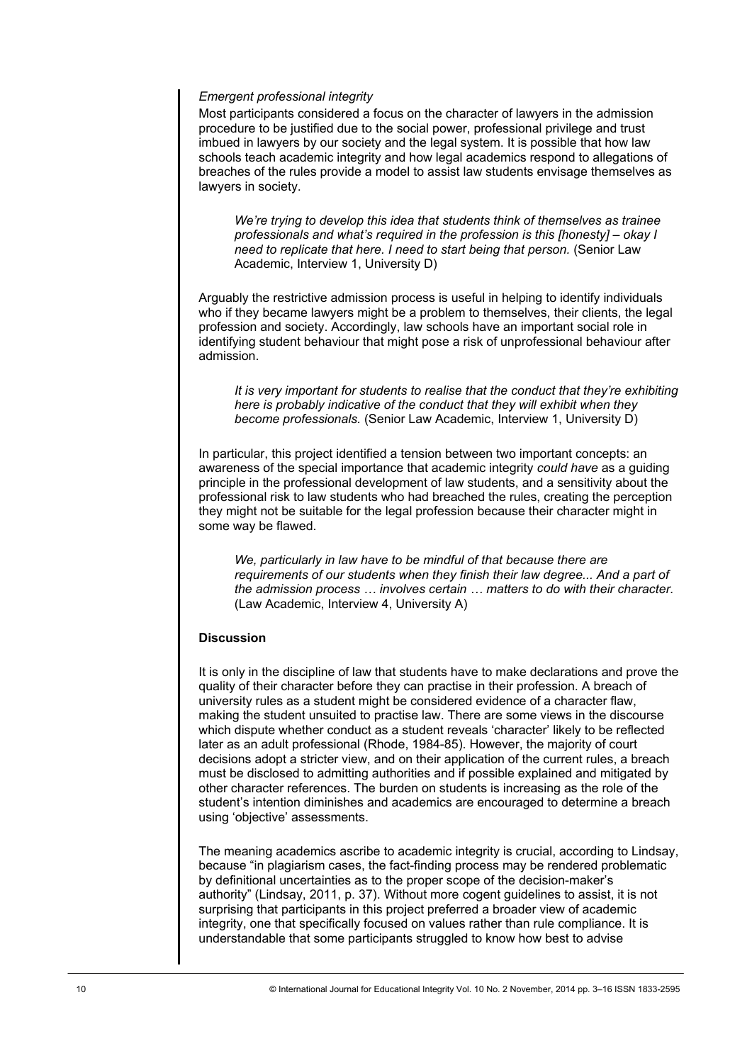#### *Emergent professional integrity*

Most participants considered a focus on the character of lawyers in the admission procedure to be justified due to the social power, professional privilege and trust imbued in lawyers by our society and the legal system. It is possible that how law schools teach academic integrity and how legal academics respond to allegations of breaches of the rules provide a model to assist law students envisage themselves as lawyers in society.

*We're trying to develop this idea that students think of themselves as trainee professionals and what's required in the profession is this [honesty] – okay I need to replicate that here. I need to start being that person.* (Senior Law Academic, Interview 1, University D)

Arguably the restrictive admission process is useful in helping to identify individuals who if they became lawyers might be a problem to themselves, their clients, the legal profession and society. Accordingly, law schools have an important social role in identifying student behaviour that might pose a risk of unprofessional behaviour after admission.

*It is very important for students to realise that the conduct that they're exhibiting here is probably indicative of the conduct that they will exhibit when they become professionals.* (Senior Law Academic, Interview 1, University D)

In particular, this project identified a tension between two important concepts: an awareness of the special importance that academic integrity *could have* as a guiding principle in the professional development of law students, and a sensitivity about the professional risk to law students who had breached the rules, creating the perception they might not be suitable for the legal profession because their character might in some way be flawed.

*We, particularly in law have to be mindful of that because there are requirements of our students when they finish their law degree... And a part of the admission process … involves certain … matters to do with their character.*  (Law Academic, Interview 4, University A)

## **Discussion**

It is only in the discipline of law that students have to make declarations and prove the quality of their character before they can practise in their profession. A breach of university rules as a student might be considered evidence of a character flaw, making the student unsuited to practise law. There are some views in the discourse which dispute whether conduct as a student reveals 'character' likely to be reflected later as an adult professional (Rhode, 1984-85). However, the majority of court decisions adopt a stricter view, and on their application of the current rules, a breach must be disclosed to admitting authorities and if possible explained and mitigated by other character references. The burden on students is increasing as the role of the student's intention diminishes and academics are encouraged to determine a breach using 'objective' assessments.

The meaning academics ascribe to academic integrity is crucial, according to Lindsay, because "in plagiarism cases, the fact-finding process may be rendered problematic by definitional uncertainties as to the proper scope of the decision-maker's authority" (Lindsay, 2011, p. 37). Without more cogent guidelines to assist, it is not surprising that participants in this project preferred a broader view of academic integrity, one that specifically focused on values rather than rule compliance. It is understandable that some participants struggled to know how best to advise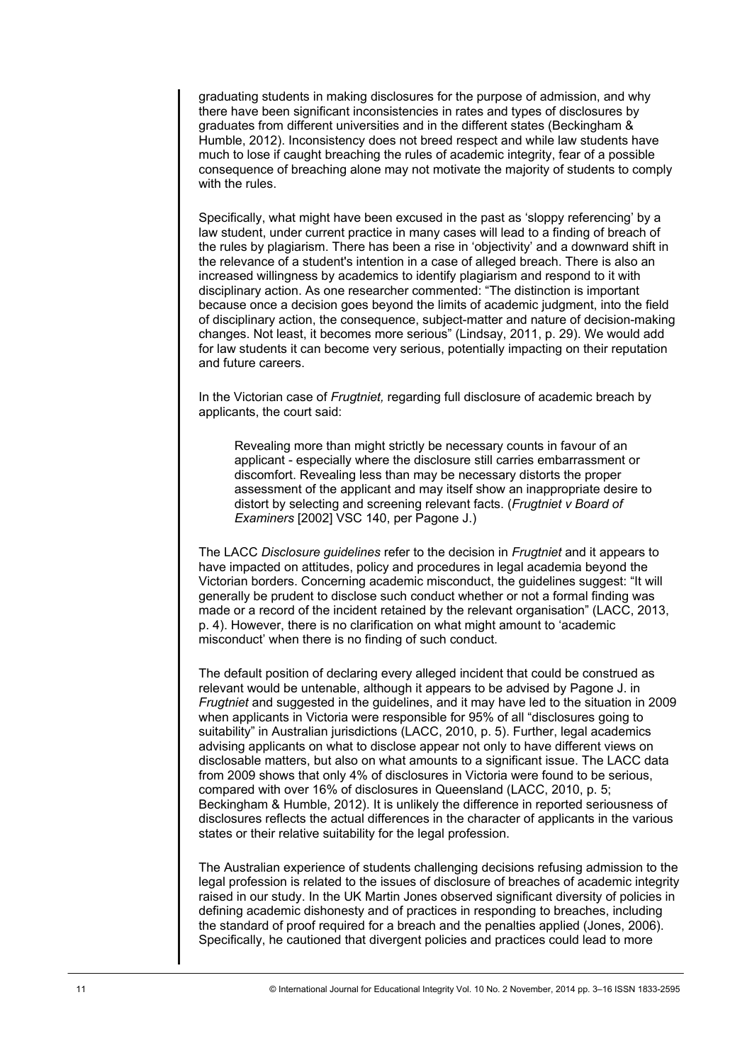graduating students in making disclosures for the purpose of admission, and why there have been significant inconsistencies in rates and types of disclosures by graduates from different universities and in the different states (Beckingham & Humble, 2012). Inconsistency does not breed respect and while law students have much to lose if caught breaching the rules of academic integrity, fear of a possible consequence of breaching alone may not motivate the majority of students to comply with the rules.

Specifically, what might have been excused in the past as 'sloppy referencing' by a law student, under current practice in many cases will lead to a finding of breach of the rules by plagiarism. There has been a rise in 'objectivity' and a downward shift in the relevance of a student's intention in a case of alleged breach. There is also an increased willingness by academics to identify plagiarism and respond to it with disciplinary action. As one researcher commented: "The distinction is important because once a decision goes beyond the limits of academic judgment, into the field of disciplinary action, the consequence, subject-matter and nature of decision-making changes. Not least, it becomes more serious" (Lindsay, 2011, p. 29). We would add for law students it can become very serious, potentially impacting on their reputation and future careers.

In the Victorian case of *Frugtniet,* regarding full disclosure of academic breach by applicants, the court said:

Revealing more than might strictly be necessary counts in favour of an applicant - especially where the disclosure still carries embarrassment or discomfort. Revealing less than may be necessary distorts the proper assessment of the applicant and may itself show an inappropriate desire to distort by selecting and screening relevant facts. (*Frugtniet v Board of Examiners* [2002] VSC 140, per Pagone J.)

The LACC *Disclosure guidelines* refer to the decision in *Frugtniet* and it appears to have impacted on attitudes, policy and procedures in legal academia beyond the Victorian borders. Concerning academic misconduct, the guidelines suggest: "It will generally be prudent to disclose such conduct whether or not a formal finding was made or a record of the incident retained by the relevant organisation" (LACC, 2013, p. 4). However, there is no clarification on what might amount to 'academic misconduct' when there is no finding of such conduct.

The default position of declaring every alleged incident that could be construed as relevant would be untenable, although it appears to be advised by Pagone J. in *Frugtniet* and suggested in the guidelines, and it may have led to the situation in 2009 when applicants in Victoria were responsible for 95% of all "disclosures going to suitability" in Australian jurisdictions (LACC, 2010, p. 5). Further, legal academics advising applicants on what to disclose appear not only to have different views on disclosable matters, but also on what amounts to a significant issue. The LACC data from 2009 shows that only 4% of disclosures in Victoria were found to be serious, compared with over 16% of disclosures in Queensland (LACC, 2010, p. 5; Beckingham & Humble, 2012). It is unlikely the difference in reported seriousness of disclosures reflects the actual differences in the character of applicants in the various states or their relative suitability for the legal profession.

The Australian experience of students challenging decisions refusing admission to the legal profession is related to the issues of disclosure of breaches of academic integrity raised in our study. In the UK Martin Jones observed significant diversity of policies in defining academic dishonesty and of practices in responding to breaches, including the standard of proof required for a breach and the penalties applied (Jones, 2006). Specifically, he cautioned that divergent policies and practices could lead to more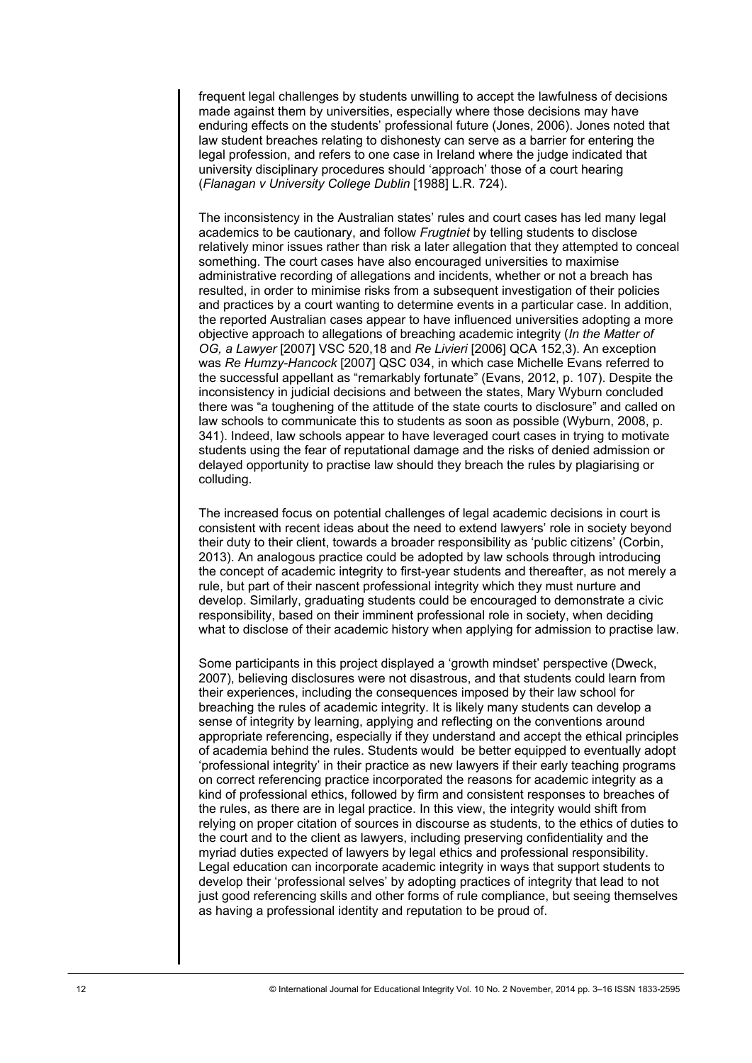frequent legal challenges by students unwilling to accept the lawfulness of decisions made against them by universities, especially where those decisions may have enduring effects on the students' professional future (Jones, 2006). Jones noted that law student breaches relating to dishonesty can serve as a barrier for entering the legal profession, and refers to one case in Ireland where the judge indicated that university disciplinary procedures should 'approach' those of a court hearing (*Flanagan v University College Dublin* [1988] L.R. 724).

The inconsistency in the Australian states' rules and court cases has led many legal academics to be cautionary, and follow *Frugtniet* by telling students to disclose relatively minor issues rather than risk a later allegation that they attempted to conceal something. The court cases have also encouraged universities to maximise administrative recording of allegations and incidents, whether or not a breach has resulted, in order to minimise risks from a subsequent investigation of their policies and practices by a court wanting to determine events in a particular case. In addition, the reported Australian cases appear to have influenced universities adopting a more objective approach to allegations of breaching academic integrity (*In the Matter of OG, a Lawyer* [2007] VSC 520,18 and *Re Livieri* [2006] QCA 152,3). An exception was *Re Humzy-Hancock* [2007] QSC 034, in which case Michelle Evans referred to the successful appellant as "remarkably fortunate" (Evans, 2012, p. 107). Despite the inconsistency in judicial decisions and between the states, Mary Wyburn concluded there was "a toughening of the attitude of the state courts to disclosure" and called on law schools to communicate this to students as soon as possible (Wyburn, 2008, p. 341). Indeed, law schools appear to have leveraged court cases in trying to motivate students using the fear of reputational damage and the risks of denied admission or delayed opportunity to practise law should they breach the rules by plagiarising or colluding.

The increased focus on potential challenges of legal academic decisions in court is consistent with recent ideas about the need to extend lawyers' role in society beyond their duty to their client, towards a broader responsibility as 'public citizens' (Corbin, 2013). An analogous practice could be adopted by law schools through introducing the concept of academic integrity to first-year students and thereafter, as not merely a rule, but part of their nascent professional integrity which they must nurture and develop. Similarly, graduating students could be encouraged to demonstrate a civic responsibility, based on their imminent professional role in society, when deciding what to disclose of their academic history when applying for admission to practise law.

Some participants in this project displayed a 'growth mindset' perspective (Dweck, 2007), believing disclosures were not disastrous, and that students could learn from their experiences, including the consequences imposed by their law school for breaching the rules of academic integrity. It is likely many students can develop a sense of integrity by learning, applying and reflecting on the conventions around appropriate referencing, especially if they understand and accept the ethical principles of academia behind the rules. Students would be better equipped to eventually adopt 'professional integrity' in their practice as new lawyers if their early teaching programs on correct referencing practice incorporated the reasons for academic integrity as a kind of professional ethics, followed by firm and consistent responses to breaches of the rules, as there are in legal practice. In this view, the integrity would shift from relying on proper citation of sources in discourse as students, to the ethics of duties to the court and to the client as lawyers, including preserving confidentiality and the myriad duties expected of lawyers by legal ethics and professional responsibility. Legal education can incorporate academic integrity in ways that support students to develop their 'professional selves' by adopting practices of integrity that lead to not just good referencing skills and other forms of rule compliance, but seeing themselves as having a professional identity and reputation to be proud of.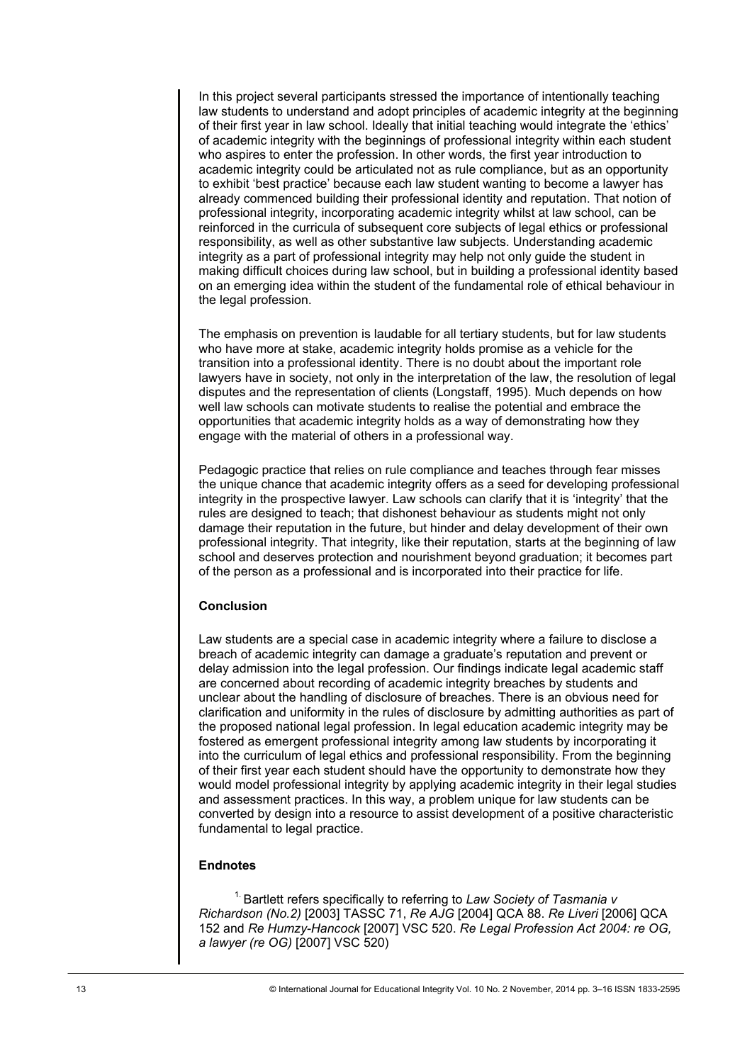In this project several participants stressed the importance of intentionally teaching law students to understand and adopt principles of academic integrity at the beginning of their first year in law school. Ideally that initial teaching would integrate the 'ethics' of academic integrity with the beginnings of professional integrity within each student who aspires to enter the profession. In other words, the first year introduction to academic integrity could be articulated not as rule compliance, but as an opportunity to exhibit 'best practice' because each law student wanting to become a lawyer has already commenced building their professional identity and reputation. That notion of professional integrity, incorporating academic integrity whilst at law school, can be reinforced in the curricula of subsequent core subjects of legal ethics or professional responsibility, as well as other substantive law subjects. Understanding academic integrity as a part of professional integrity may help not only guide the student in making difficult choices during law school, but in building a professional identity based on an emerging idea within the student of the fundamental role of ethical behaviour in the legal profession.

The emphasis on prevention is laudable for all tertiary students, but for law students who have more at stake, academic integrity holds promise as a vehicle for the transition into a professional identity. There is no doubt about the important role lawyers have in society, not only in the interpretation of the law, the resolution of legal disputes and the representation of clients (Longstaff, 1995). Much depends on how well law schools can motivate students to realise the potential and embrace the opportunities that academic integrity holds as a way of demonstrating how they engage with the material of others in a professional way.

Pedagogic practice that relies on rule compliance and teaches through fear misses the unique chance that academic integrity offers as a seed for developing professional integrity in the prospective lawyer. Law schools can clarify that it is 'integrity' that the rules are designed to teach; that dishonest behaviour as students might not only damage their reputation in the future, but hinder and delay development of their own professional integrity. That integrity, like their reputation, starts at the beginning of law school and deserves protection and nourishment beyond graduation; it becomes part of the person as a professional and is incorporated into their practice for life.

#### **Conclusion**

Law students are a special case in academic integrity where a failure to disclose a breach of academic integrity can damage a graduate's reputation and prevent or delay admission into the legal profession. Our findings indicate legal academic staff are concerned about recording of academic integrity breaches by students and unclear about the handling of disclosure of breaches. There is an obvious need for clarification and uniformity in the rules of disclosure by admitting authorities as part of the proposed national legal profession. In legal education academic integrity may be fostered as emergent professional integrity among law students by incorporating it into the curriculum of legal ethics and professional responsibility. From the beginning of their first year each student should have the opportunity to demonstrate how they would model professional integrity by applying academic integrity in their legal studies and assessment practices. In this way, a problem unique for law students can be converted by design into a resource to assist development of a positive characteristic fundamental to legal practice.

## **Endnotes**

1. Bartlett refers specifically to referring to *Law Society of Tasmania v Richardson (No.2)* [2003] TASSC 71, *Re AJG* [2004] QCA 88. *Re Liveri* [2006] QCA 152 and *Re Humzy-Hancock* [2007] VSC 520. *Re Legal Profession Act 2004: re OG, a lawyer (re OG)* [2007] VSC 520)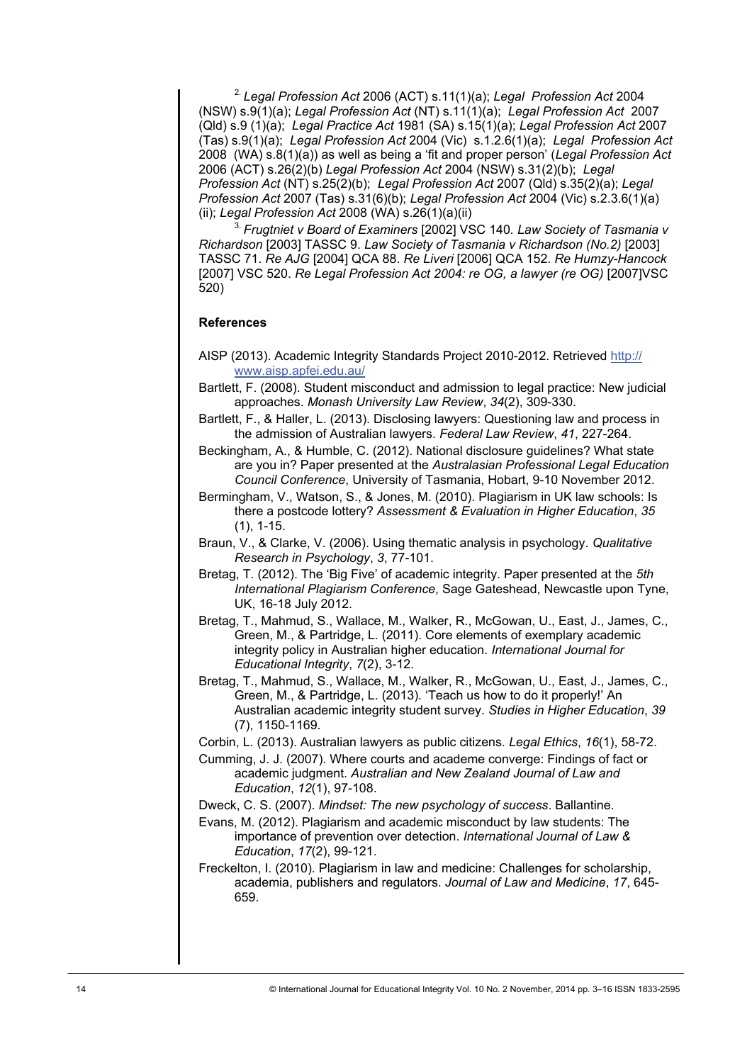2. *Legal Profession Act* 2006 (ACT) s.11(1)(a); *Legal Profession Act* 2004 (NSW) s.9(1)(a); *Legal Profession Act* (NT) s.11(1)(a); *Legal Profession Act* 2007 (Qld) s.9 (1)(a); *Legal Practice Act* 1981 (SA) s.15(1)(a); *Legal Profession Act* 2007 (Tas) s.9(1)(a); *Legal Profession Act* 2004 (Vic) s.1.2.6(1)(a); *Legal Profession Act* 2008 (WA) s.8(1)(a)) as well as being a 'fit and proper person' (*Legal Profession Act* 2006 (ACT) s.26(2)(b) *Legal Profession Act* 2004 (NSW) s.31(2)(b); *Legal Profession Act* (NT) s.25(2)(b); *Legal Profession Act* 2007 (Qld) s.35(2)(a); *Legal Profession Act* 2007 (Tas) s.31(6)(b); *Legal Profession Act* 2004 (Vic) s.2.3.6(1)(a) (ii); *Legal Profession Act* 2008 (WA) s.26(1)(a)(ii)

3. *Frugtniet v Board of Examiners* [2002] VSC 140*. Law Society of Tasmania v Richardson* [2003] TASSC 9. *Law Society of Tasmania v Richardson (No.2)* [2003] TASSC 71. *Re AJG* [2004] QCA 88. *Re Liveri* [2006] QCA 152. *Re Humzy-Hancock*  [2007] VSC 520. *Re Legal Profession Act 2004: re OG, a lawyer (re OG)* [2007]VSC 520)

#### **References**

- AISP (2013). Academic Integrity Standards Project 2010-2012. Retrieved [http://](http://www.aisp.apfei.edu.au/) [www.aisp.apfei.edu.au/](http://www.aisp.apfei.edu.au/)
- Bartlett, F. (2008). Student misconduct and admission to legal practice: New judicial approaches. *Monash University Law Review*, *34*(2), 309-330.
- Bartlett, F., & Haller, L. (2013). Disclosing lawyers: Questioning law and process in the admission of Australian lawyers. *Federal Law Review*, *41*, 227-264.
- Beckingham, A., & Humble, C. (2012). National disclosure guidelines? What state are you in? Paper presented at the *Australasian Professional Legal Education Council Conference*, University of Tasmania, Hobart, 9-10 November 2012.
- Bermingham, V., Watson, S., & Jones, M. (2010). Plagiarism in UK law schools: Is there a postcode lottery? *Assessment & Evaluation in Higher Education*, *35* (1), 1-15.
- Braun, V., & Clarke, V. (2006). Using thematic analysis in psychology. *Qualitative Research in Psychology*, *3*, 77-101.
- Bretag, T. (2012). The 'Big Five' of academic integrity. Paper presented at the *5th International Plagiarism Conference*, Sage Gateshead, Newcastle upon Tyne, UK, 16-18 July 2012.
- Bretag, T., Mahmud, S., Wallace, M., Walker, R., McGowan, U., East, J., James, C., Green, M., & Partridge, L. (2011). Core elements of exemplary academic integrity policy in Australian higher education. *International Journal for Educational Integrity*, *7*(2), 3-12.
- Bretag, T., Mahmud, S., Wallace, M., Walker, R., McGowan, U., East, J., James, C., Green, M., & Partridge, L. (2013). 'Teach us how to do it properly!' An Australian academic integrity student survey. *Studies in Higher Education*, *39* (7), 1150-1169.
- Corbin, L. (2013). Australian lawyers as public citizens. *Legal Ethics*, *16*(1), 58-72.
- Cumming, J. J. (2007). Where courts and academe converge: Findings of fact or academic judgment. *Australian and New Zealand Journal of Law and Education*, *12*(1), 97-108.
- Dweck, C. S. (2007). *Mindset: The new psychology of success*. Ballantine.
- Evans, M. (2012). Plagiarism and academic misconduct by law students: The importance of prevention over detection. *International Journal of Law & Education*, *17*(2), 99-121.
- Freckelton, I. (2010). Plagiarism in law and medicine: Challenges for scholarship, academia, publishers and regulators. *Journal of Law and Medicine*, *17*, 645- 659.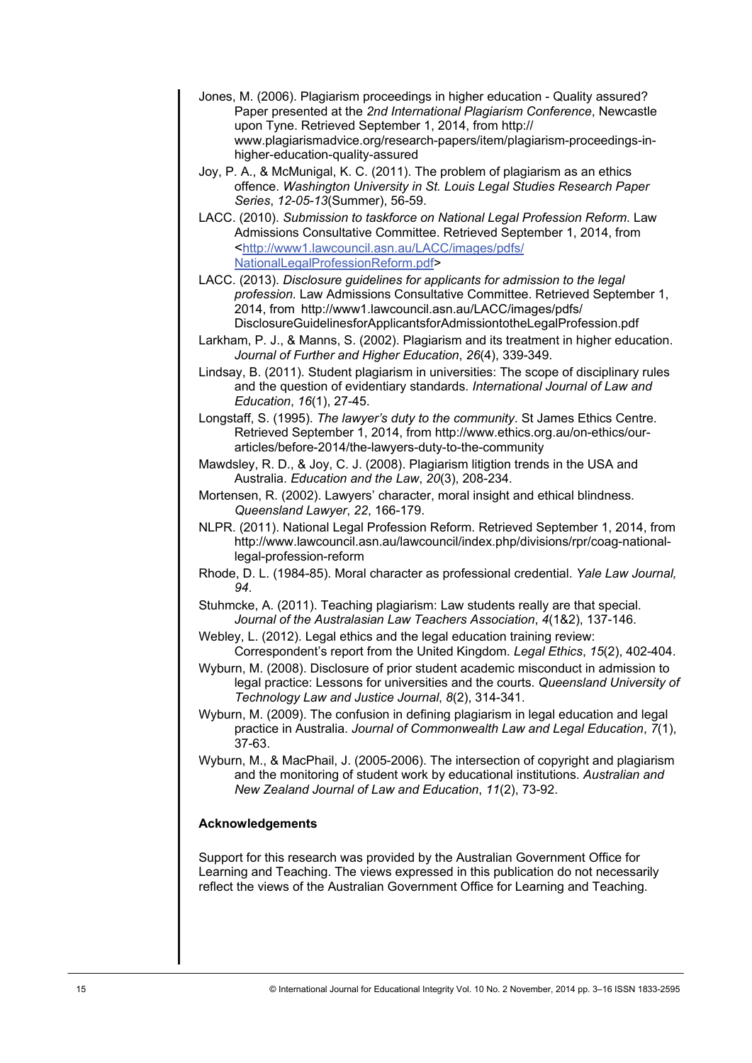- Jones, M. (2006). Plagiarism proceedings in higher education Quality assured? Paper presented at the *2nd International Plagiarism Conference*, Newcastle upon Tyne. Retrieved September 1, 2014, from http:// www.plagiarismadvice.org/research-papers/item/plagiarism-proceedings-inhigher-education-quality-assured
- Joy, P. A., & McMunigal, K. C. (2011). The problem of plagiarism as an ethics offence. *Washington University in St. Louis Legal Studies Research Paper Series*, *12-05-13*(Summer), 56-59.
- LACC. (2010). *Submission to taskforce on National Legal Profession Reform*. Law Admissions Consultative Committee. Retrieved September 1, 2014, from <[http://www1.lawcouncil.asn.au/LACC/images/pdfs/](http://www1.lawcouncil.asn.au/LACC/images/pdfs/NationalLegalProfessionReform.pdf) [NationalLegalProfessionReform.pdf>](http://www1.lawcouncil.asn.au/LACC/images/pdfs/NationalLegalProfessionReform.pdf)
- LACC. (2013). *Disclosure guidelines for applicants for admission to the legal profession.* Law Admissions Consultative Committee. Retrieved September 1, 2014, from http://www1.lawcouncil.asn.au/LACC/images/pdfs/ DisclosureGuidelinesforApplicantsforAdmissiontotheLegalProfession.pdf
- Larkham, P. J., & Manns, S. (2002). Plagiarism and its treatment in higher education. *Journal of Further and Higher Education*, *26*(4), 339-349.
- Lindsay, B. (2011). Student plagiarism in universities: The scope of disciplinary rules and the question of evidentiary standards. *International Journal of Law and Education*, *16*(1), 27-45.
- Longstaff, S. (1995). *The lawyer's duty to the community*. St James Ethics Centre. Retrieved September 1, 2014, from http://www.ethics.org.au/on-ethics/ourarticles/before-2014/the-lawyers-duty-to-the-community
- Mawdsley, R. D., & Joy, C. J. (2008). Plagiarism litigtion trends in the USA and Australia. *Education and the Law*, *20*(3), 208-234.
- Mortensen, R. (2002). Lawyers' character, moral insight and ethical blindness. *Queensland Lawyer*, *22*, 166-179.
- NLPR. (2011). National Legal Profession Reform. Retrieved September 1, 2014, from http://www.lawcouncil.asn.au/lawcouncil/index.php/divisions/rpr/coag-nationallegal-profession-reform
- Rhode, D. L. (1984-85). Moral character as professional credential. *Yale Law Journal, 94*.
- Stuhmcke, A. (2011). Teaching plagiarism: Law students really are that special. *Journal of the Australasian Law Teachers Association*, *4*(1&2), 137-146.
- Webley, L. (2012). Legal ethics and the legal education training review: Correspondent's report from the United Kingdom. *Legal Ethics*, *15*(2), 402-404.
- Wyburn, M. (2008). Disclosure of prior student academic misconduct in admission to legal practice: Lessons for universities and the courts. *Queensland University of Technology Law and Justice Journal*, *8*(2), 314-341.
- Wyburn, M. (2009). The confusion in defining plagiarism in legal education and legal practice in Australia. *Journal of Commonwealth Law and Legal Education*, *7*(1), 37-63.
- Wyburn, M., & MacPhail, J. (2005-2006). The intersection of copyright and plagiarism and the monitoring of student work by educational institutions. *Australian and New Zealand Journal of Law and Education*, *11*(2), 73-92.

## **Acknowledgements**

Support for this research was provided by the Australian Government Office for Learning and Teaching. The views expressed in this publication do not necessarily reflect the views of the Australian Government Office for Learning and Teaching.